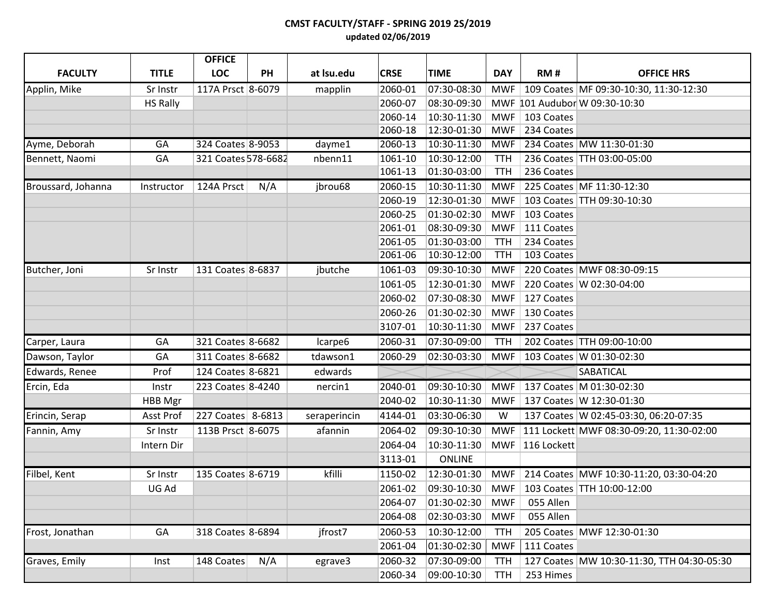## **CMST FACULTY/STAFF - SPRING 2019 2S/2019 updated 02/06/2019**

|                    |                 | <b>OFFICE</b>       |     |              |             |               |            |             |                                             |
|--------------------|-----------------|---------------------|-----|--------------|-------------|---------------|------------|-------------|---------------------------------------------|
| <b>FACULTY</b>     | <b>TITLE</b>    | <b>LOC</b>          | PH  | at Isu.edu   | <b>CRSE</b> | <b>TIME</b>   | <b>DAY</b> | RM#         | <b>OFFICE HRS</b>                           |
| Applin, Mike       | Sr Instr        | 117A Prsct 8-6079   |     | mapplin      | 2060-01     | 07:30-08:30   | MWF        |             | 109 Coates MF 09:30-10:30, 11:30-12:30      |
|                    | <b>HS Rally</b> |                     |     |              | 2060-07     | 08:30-09:30   |            |             | MWF 101 Audubor W 09:30-10:30               |
|                    |                 |                     |     |              | 2060-14     | 10:30-11:30   | MWF        | 103 Coates  |                                             |
|                    |                 |                     |     |              | 2060-18     | 12:30-01:30   | MWF        | 234 Coates  |                                             |
| Ayme, Deborah      | GA              | 324 Coates 8-9053   |     | dayme1       | 2060-13     | 10:30-11:30   | MWF        |             | 234 Coates MW 11:30-01:30                   |
| Bennett, Naomi     | GA              | 321 Coates 578-6682 |     | nbenn11      | 1061-10     | 10:30-12:00   | <b>TTH</b> |             | 236 Coates TTH 03:00-05:00                  |
|                    |                 |                     |     |              | 1061-13     | 01:30-03:00   | <b>TTH</b> | 236 Coates  |                                             |
| Broussard, Johanna | Instructor      | 124A Prsct          | N/A | jbrou68      | 2060-15     | 10:30-11:30   | <b>MWF</b> |             | 225 Coates MF 11:30-12:30                   |
|                    |                 |                     |     |              | 2060-19     | 12:30-01:30   | <b>MWF</b> |             | 103 Coates   TTH 09:30-10:30                |
|                    |                 |                     |     |              | 2060-25     | 01:30-02:30   | <b>MWF</b> | 103 Coates  |                                             |
|                    |                 |                     |     |              | 2061-01     | 08:30-09:30   | <b>MWF</b> | 111 Coates  |                                             |
|                    |                 |                     |     |              | 2061-05     | 01:30-03:00   | <b>TTH</b> | 234 Coates  |                                             |
|                    |                 |                     |     |              | 2061-06     | 10:30-12:00   | <b>TTH</b> | 103 Coates  |                                             |
| Butcher, Joni      | Sr Instr        | 131 Coates 8-6837   |     | jbutche      | 1061-03     | 09:30-10:30   | <b>MWF</b> |             | 220 Coates MWF 08:30-09:15                  |
|                    |                 |                     |     |              | 1061-05     | 12:30-01:30   | <b>MWF</b> |             | 220 Coates W 02:30-04:00                    |
|                    |                 |                     |     |              | 2060-02     | 07:30-08:30   | <b>MWF</b> | 127 Coates  |                                             |
|                    |                 |                     |     |              | 2060-26     | 01:30-02:30   | <b>MWF</b> | 130 Coates  |                                             |
|                    |                 |                     |     |              | 3107-01     | 10:30-11:30   | <b>MWF</b> | 237 Coates  |                                             |
| Carper, Laura      | GA              | 321 Coates 8-6682   |     | Icarpe6      | 2060-31     | 07:30-09:00   | <b>TTH</b> |             | 202 Coates   TTH 09:00-10:00                |
| Dawson, Taylor     | GA              | 311 Coates 8-6682   |     | tdawson1     | 2060-29     | 02:30-03:30   | MWF        |             | 103 Coates W 01:30-02:30                    |
| Edwards, Renee     | Prof            | 124 Coates 8-6821   |     | edwards      |             |               |            |             | SABATICAL                                   |
| Ercin, Eda         | Instr           | 223 Coates 8-4240   |     | nercin1      | 2040-01     | 09:30-10:30   | MWF        |             | 137 Coates M 01:30-02:30                    |
|                    | HBB Mgr         |                     |     |              | 2040-02     | 10:30-11:30   | MWF        |             | 137 Coates W 12:30-01:30                    |
| Erincin, Serap     | Asst Prof       | 227 Coates 8-6813   |     | seraperincin | 4144-01     | 03:30-06:30   | W          |             | 137 Coates W 02:45-03:30, 06:20-07:35       |
| Fannin, Amy        | Sr Instr        | 113B Prsct 8-6075   |     | afannin      | 2064-02     | 09:30-10:30   | <b>MWF</b> |             | 111 Lockett MWF 08:30-09:20, 11:30-02:00    |
|                    | Intern Dir      |                     |     |              | 2064-04     | 10:30-11:30   | MWF        | 116 Lockett |                                             |
|                    |                 |                     |     |              | 3113-01     | <b>ONLINE</b> |            |             |                                             |
| Filbel, Kent       | Sr Instr        | 135 Coates 8-6719   |     | kfilli       | 1150-02     | 12:30-01:30   |            |             | MWF 214 Coates MWF 10:30-11:20, 03:30-04:20 |
|                    | UG Ad           |                     |     |              | 2061-02     | 09:30-10:30   |            |             | MWF   103 Coates   TTH 10:00-12:00          |
|                    |                 |                     |     |              | 2064-07     | 01:30-02:30   | <b>MWF</b> | 055 Allen   |                                             |
|                    |                 |                     |     |              | 2064-08     | 02:30-03:30   | <b>MWF</b> | 055 Allen   |                                             |
| Frost, Jonathan    | GA              | 318 Coates 8-6894   |     | jfrost7      | 2060-53     | 10:30-12:00   | <b>TTH</b> |             | 205 Coates MWF 12:30-01:30                  |
|                    |                 |                     |     |              | 2061-04     | 01:30-02:30   | <b>MWF</b> | 111 Coates  |                                             |
| Graves, Emily      | Inst            | 148 Coates          | N/A | egrave3      | 2060-32     | 07:30-09:00   | <b>TTH</b> |             | 127 Coates MW 10:30-11:30, TTH 04:30-05:30  |
|                    |                 |                     |     |              | 2060-34     | 09:00-10:30   | <b>TTH</b> | 253 Himes   |                                             |
|                    |                 |                     |     |              |             |               |            |             |                                             |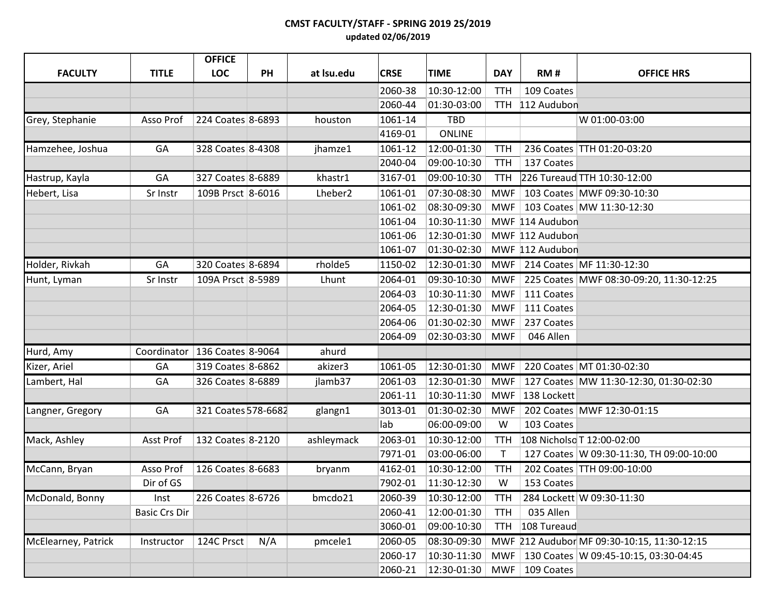## **CMST FACULTY/STAFF - SPRING 2019 2S/2019 updated 02/06/2019**

|                     |                                 | <b>OFFICE</b>       |           |                     |             |               |             |                 |                                             |
|---------------------|---------------------------------|---------------------|-----------|---------------------|-------------|---------------|-------------|-----------------|---------------------------------------------|
| <b>FACULTY</b>      | <b>TITLE</b>                    | <b>LOC</b>          | <b>PH</b> | at Isu.edu          | <b>CRSE</b> | <b>TIME</b>   | <b>DAY</b>  | RM#             | <b>OFFICE HRS</b>                           |
|                     |                                 |                     |           |                     | 2060-38     | 10:30-12:00   | <b>TTH</b>  | 109 Coates      |                                             |
|                     |                                 |                     |           |                     | 2060-44     | 01:30-03:00   |             | TTH 112 Audubon |                                             |
| Grey, Stephanie     | Asso Prof                       | 224 Coates 8-6893   |           | houston             | 1061-14     | <b>TBD</b>    |             |                 | W 01:00-03:00                               |
|                     |                                 |                     |           |                     | 4169-01     | <b>ONLINE</b> |             |                 |                                             |
| Hamzehee, Joshua    | GA                              | 328 Coates 8-4308   |           | jhamze1             | 1061-12     | 12:00-01:30   | <b>TTH</b>  |                 | 236 Coates TTH 01:20-03:20                  |
|                     |                                 |                     |           |                     | 2040-04     | 09:00-10:30   | <b>TTH</b>  | 137 Coates      |                                             |
| Hastrup, Kayla      | GA                              | 327 Coates 8-6889   |           | khastr1             | 3167-01     | 09:00-10:30   | <b>TTH</b>  |                 | 226 Tureaud TTH 10:30-12:00                 |
| Hebert, Lisa        | Sr Instr                        | 109B Prsct 8-6016   |           | Lheber <sub>2</sub> | 1061-01     | 07:30-08:30   | <b>MWF</b>  |                 | 103 Coates MWF 09:30-10:30                  |
|                     |                                 |                     |           |                     | 1061-02     | 08:30-09:30   | <b>MWF</b>  |                 | 103 Coates MW 11:30-12:30                   |
|                     |                                 |                     |           |                     | 1061-04     | 10:30-11:30   |             | MWF 114 Audubon |                                             |
|                     |                                 |                     |           |                     | 1061-06     | 12:30-01:30   |             | MWF 112 Audubon |                                             |
|                     |                                 |                     |           |                     | 1061-07     | 01:30-02:30   |             | MWF 112 Audubon |                                             |
| Holder, Rivkah      | GA                              | 320 Coates 8-6894   |           | rholde5             | 1150-02     | 12:30-01:30   | <b>MWF</b>  |                 | 214 Coates MF 11:30-12:30                   |
| Hunt, Lyman         | Sr Instr                        | 109A Prsct 8-5989   |           | Lhunt               | 2064-01     | 09:30-10:30   | <b>MWF</b>  |                 | 225 Coates MWF 08:30-09:20, 11:30-12:25     |
|                     |                                 |                     |           |                     | 2064-03     | 10:30-11:30   | <b>MWF</b>  | 111 Coates      |                                             |
|                     |                                 |                     |           |                     | 2064-05     | 12:30-01:30   | <b>MWF</b>  | 111 Coates      |                                             |
|                     |                                 |                     |           |                     | 2064-06     | 01:30-02:30   | <b>MWF</b>  | 237 Coates      |                                             |
|                     |                                 |                     |           |                     | 2064-09     | 02:30-03:30   | <b>MWF</b>  | 046 Allen       |                                             |
| Hurd, Amy           | Coordinator   136 Coates 8-9064 |                     |           | ahurd               |             |               |             |                 |                                             |
| Kizer, Ariel        | GA                              | 319 Coates 8-6862   |           | akizer3             | 1061-05     | 12:30-01:30   | <b>MWF</b>  |                 | 220 Coates MT 01:30-02:30                   |
| Lambert, Hal        | GA                              | 326 Coates 8-6889   |           | jlamb37             | 2061-03     | 12:30-01:30   | <b>MWF</b>  |                 | 127 Coates MW 11:30-12:30, 01:30-02:30      |
|                     |                                 |                     |           |                     | 2061-11     | 10:30-11:30   | <b>MWF</b>  | 138 Lockett     |                                             |
| Langner, Gregory    | GA                              | 321 Coates 578-6682 |           | glangn1             | 3013-01     | 01:30-02:30   | <b>MWF</b>  |                 | 202 Coates MWF 12:30-01:15                  |
|                     |                                 |                     |           |                     | lab         | 06:00-09:00   | W           | 103 Coates      |                                             |
| Mack, Ashley        | Asst Prof                       | 132 Coates 8-2120   |           | ashleymack          | 2063-01     | 10:30-12:00   | <b>TTH</b>  |                 | 108 Nicholso T 12:00-02:00                  |
|                     |                                 |                     |           |                     | 7971-01     | 03:00-06:00   | $\mathsf T$ |                 | 127 Coates   W 09:30-11:30, TH 09:00-10:00  |
| McCann, Bryan       | Asso Prof                       | 126 Coates 8-6683   |           | bryanm              | 4162-01     | 10:30-12:00   | <b>TTH</b>  |                 | 202 Coates TTH 09:00-10:00                  |
|                     | Dir of GS                       |                     |           |                     | 7902-01     | 11:30-12:30   | W           | 153 Coates      |                                             |
| McDonald, Bonny     | Inst                            | 226 Coates 8-6726   |           | bmcdo21             | 2060-39     | 10:30-12:00   | TTH         |                 | 284 Lockett W 09:30-11:30                   |
|                     | <b>Basic Crs Dir</b>            |                     |           |                     | 2060-41     | 12:00-01:30   | <b>TTH</b>  | 035 Allen       |                                             |
|                     |                                 |                     |           |                     | 3060-01     | 09:00-10:30   | <b>TTH</b>  | 108 Tureaud     |                                             |
| McElearney, Patrick | Instructor                      | 124C Prsct          | N/A       | pmcele1             | 2060-05     | 08:30-09:30   |             |                 | MWF 212 Audubor MF 09:30-10:15, 11:30-12:15 |
|                     |                                 |                     |           |                     | 2060-17     | 10:30-11:30   | <b>MWF</b>  |                 | 130 Coates W 09:45-10:15, 03:30-04:45       |
|                     |                                 |                     |           |                     | 2060-21     | 12:30-01:30   | MWF         | 109 Coates      |                                             |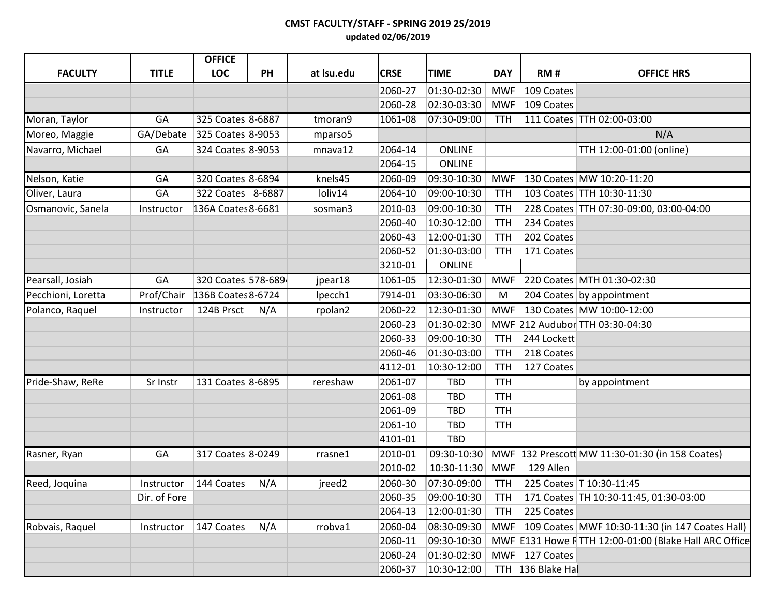## **CMST FACULTY/STAFF - SPRING 2019 2S/2019 updated 02/06/2019**

|                    |              | <b>OFFICE</b>      |     |            |             |               |            |                   |                                                       |
|--------------------|--------------|--------------------|-----|------------|-------------|---------------|------------|-------------------|-------------------------------------------------------|
| <b>FACULTY</b>     | <b>TITLE</b> | LOC                | PH  | at Isu.edu | <b>CRSE</b> | <b>TIME</b>   | <b>DAY</b> | RM#               | <b>OFFICE HRS</b>                                     |
|                    |              |                    |     |            | 2060-27     | 01:30-02:30   | <b>MWF</b> | 109 Coates        |                                                       |
|                    |              |                    |     |            | 2060-28     | 02:30-03:30   | MWF        | 109 Coates        |                                                       |
| Moran, Taylor      | GA           | 325 Coates 8-6887  |     | tmoran9    | 1061-08     | 07:30-09:00   | <b>TTH</b> |                   | 111 Coates TTH 02:00-03:00                            |
| Moreo, Maggie      | GA/Debate    | 325 Coates 8-9053  |     | mparso5    |             |               |            |                   | N/A                                                   |
| Navarro, Michael   | GA           | 324 Coates 8-9053  |     | mnava12    | 2064-14     | <b>ONLINE</b> |            |                   | TTH 12:00-01:00 (online)                              |
|                    |              |                    |     |            | 2064-15     | <b>ONLINE</b> |            |                   |                                                       |
| Nelson, Katie      | GA           | 320 Coates 8-6894  |     | knels45    | 2060-09     | 09:30-10:30   | MWF        |                   | 130 Coates MW 10:20-11:20                             |
| Oliver, Laura      | GA           | 322 Coates 8-6887  |     | loliv14    | 2064-10     | 09:00-10:30   | <b>TTH</b> |                   | 103 Coates TTH 10:30-11:30                            |
| Osmanovic, Sanela  | Instructor   | 136A Coates 8-6681 |     | sosman3    | 2010-03     | 09:00-10:30   | <b>TTH</b> |                   | 228 Coates TTH 07:30-09:00, 03:00-04:00               |
|                    |              |                    |     |            | 2060-40     | 10:30-12:00   | <b>TTH</b> | 234 Coates        |                                                       |
|                    |              |                    |     |            | 2060-43     | 12:00-01:30   | <b>TTH</b> | 202 Coates        |                                                       |
|                    |              |                    |     |            | 2060-52     | 01:30-03:00   | TTH        | 171 Coates        |                                                       |
|                    |              |                    |     |            | 3210-01     | <b>ONLINE</b> |            |                   |                                                       |
| Pearsall, Josiah   | GA           | 320 Coates 578-689 |     | jpear18    | 1061-05     | 12:30-01:30   | MWF        |                   | 220 Coates MTH 01:30-02:30                            |
| Pecchioni, Loretta | Prof/Chair   | 136B Coates 8-6724 |     | lpecch1    | 7914-01     | 03:30-06:30   | M          |                   | 204 Coates by appointment                             |
| Polanco, Raquel    | Instructor   | 124B Prsct         | N/A | rpolan2    | 2060-22     | 12:30-01:30   | <b>MWF</b> |                   | 130 Coates MW 10:00-12:00                             |
|                    |              |                    |     |            | 2060-23     | 01:30-02:30   |            |                   | MWF 212 Audubor TTH 03:30-04:30                       |
|                    |              |                    |     |            | 2060-33     | 09:00-10:30   | <b>TTH</b> | 244 Lockett       |                                                       |
|                    |              |                    |     |            | 2060-46     | 01:30-03:00   | <b>TTH</b> | 218 Coates        |                                                       |
|                    |              |                    |     |            | 4112-01     | 10:30-12:00   | <b>TTH</b> | 127 Coates        |                                                       |
| Pride-Shaw, ReRe   | Sr Instr     | 131 Coates 8-6895  |     | rereshaw   | 2061-07     | TBD           | <b>TTH</b> |                   | by appointment                                        |
|                    |              |                    |     |            | 2061-08     | <b>TBD</b>    | <b>TTH</b> |                   |                                                       |
|                    |              |                    |     |            | 2061-09     | TBD           | <b>TTH</b> |                   |                                                       |
|                    |              |                    |     |            | 2061-10     | <b>TBD</b>    | <b>TTH</b> |                   |                                                       |
|                    |              |                    |     |            | 4101-01     | <b>TBD</b>    |            |                   |                                                       |
| Rasner, Ryan       | GA           | 317 Coates 8-0249  |     | rrasne1    | 2010-01     | 09:30-10:30   |            |                   | MWF  132 Prescott MW 11:30-01:30 (in 158 Coates)      |
|                    |              |                    |     |            | 2010-02     | 10:30-11:30   | <b>MWF</b> | 129 Allen         |                                                       |
| Reed, Joquina      | Instructor   | 144 Coates         | N/A | jreed2     | 2060-30     | 07:30-09:00   | <b>TTH</b> |                   | 225 Coates   T10:30-11:45                             |
|                    | Dir. of Fore |                    |     |            | 2060-35     | 09:00-10:30   | <b>TTH</b> |                   | 171 Coates   TH 10:30-11:45, 01:30-03:00              |
|                    |              |                    |     |            | 2064-13     | 12:00-01:30   | <b>TTH</b> | 225 Coates        |                                                       |
| Robvais, Raquel    | Instructor   | 147 Coates         | N/A | rrobva1    | 2060-04     | 08:30-09:30   | MWF        |                   | 109 Coates MWF 10:30-11:30 (in 147 Coates Hall)       |
|                    |              |                    |     |            | 2060-11     | 09:30-10:30   |            |                   | MWF E131 Howe RTTH 12:00-01:00 (Blake Hall ARC Office |
|                    |              |                    |     |            | 2060-24     | 01:30-02:30   | MWF        | 127 Coates        |                                                       |
|                    |              |                    |     |            | 2060-37     | 10:30-12:00   |            | TTH 136 Blake Hal |                                                       |